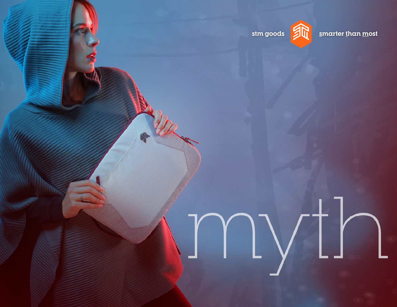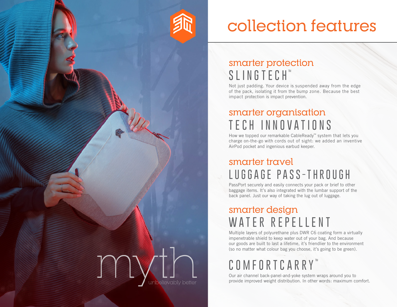

# collection features

### smarter protection **SLINGTECH ™**

Not just padding. Your device is suspended away from the edge of the pack, isolating it from the bump zone. Because the best impact protection is impact prevention.

## smarter organisation **TECH INNOVATIONS**

How we topped our remarkable CableReady™ system that lets you charge on-the-go with cords out of sight: we added an inventive AirPod pocket and ingenious earbud keeper.

#### smarter travel **LUGGAGE PASS-THROUGH**

PassPort securely and easily connects your pack or brief to other baggage items. It's also integrated with the lumbar support of the back panel. Just our way of taking the lug out of luggage.

### smarter design **WATER REPELLENT**

Multiple layers of polyurethane plus DWR C6 coating form a virtually impenetrable shield to keep water out of your bag. And because our goods are built to last a lifetime, it's friendlier to the environment (so no matter what colour bag you choose, it's going to be green).

## **COMFORTCARRY ™**

Our air channel back-panel-and-yoke system wraps around you to provide improved weight distribution. In other words: maximum comfort.